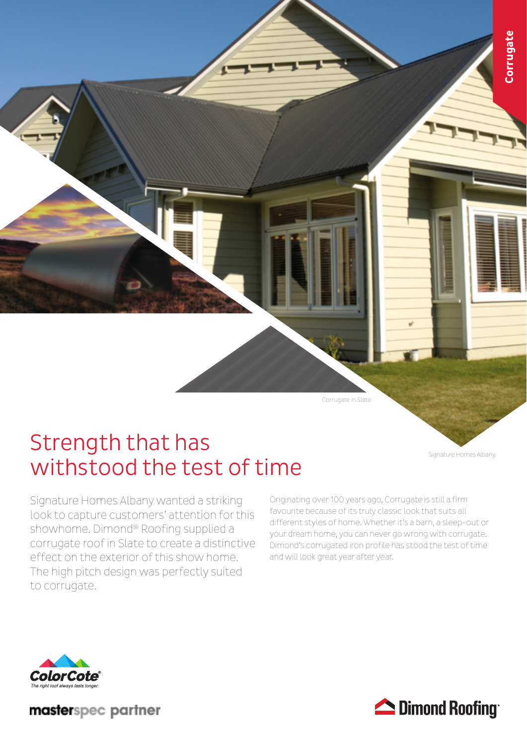

Corrugate in Slate

## Strength that has withstood the test of time

Signature Homes Albany wanted a striking look to capture customers' attention for this showhome. Dimond® Roofing supplied a corrugate roof in Slate to create a distinctive effect on the exterior of this show home. The high pitch design was perfectly suited to corrugate.

Originating over 100 years ago, Corrugate is still a firm favourite because of its truly classic look that suits all different styles of home. Whether it's a barn, a sleep-out or your dream home, you can never go wrong with corrugate. Dimond's corrugated iron profile has stood the test of time and will look great year after year.



masterspec partner



Signature Homes Albany